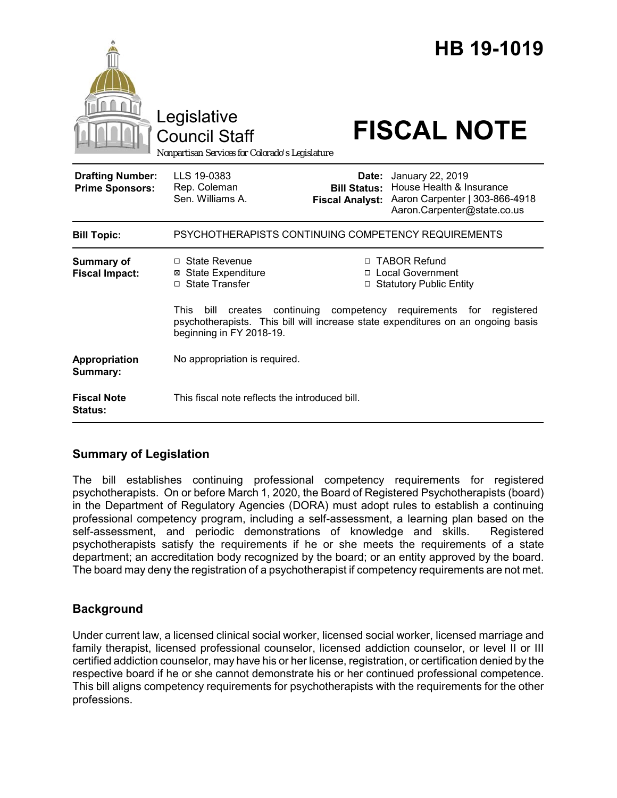|                                                   | Legislative<br><b>Council Staff</b><br>Nonpartisan Services for Colorado's Legislature                                          |                                               | HB 19-1019<br><b>FISCAL NOTE</b>                                                                                                                                                          |  |
|---------------------------------------------------|---------------------------------------------------------------------------------------------------------------------------------|-----------------------------------------------|-------------------------------------------------------------------------------------------------------------------------------------------------------------------------------------------|--|
| <b>Drafting Number:</b><br><b>Prime Sponsors:</b> | LLS 19-0383<br>Rep. Coleman<br>Sen. Williams A.                                                                                 | <b>Bill Status:</b><br><b>Fiscal Analyst:</b> | <b>Date:</b> January 22, 2019<br>House Health & Insurance<br>Aaron Carpenter   303-866-4918<br>Aaron.Carpenter@state.co.us                                                                |  |
| <b>Bill Topic:</b>                                | PSYCHOTHERAPISTS CONTINUING COMPETENCY REQUIREMENTS                                                                             |                                               |                                                                                                                                                                                           |  |
| Summary of<br><b>Fiscal Impact:</b>               | □ State Revenue<br><b>⊠</b> State Expenditure<br>□ State Transfer<br><b>This</b><br>bill<br>creates<br>beginning in FY 2018-19. | □<br>continuing competency                    | □ TABOR Refund<br>□ Local Government<br><b>Statutory Public Entity</b><br>requirements for registered<br>psychotherapists. This bill will increase state expenditures on an ongoing basis |  |
| Appropriation<br>Summary:                         | No appropriation is required.                                                                                                   |                                               |                                                                                                                                                                                           |  |
| <b>Fiscal Note</b><br><b>Status:</b>              | This fiscal note reflects the introduced bill.                                                                                  |                                               |                                                                                                                                                                                           |  |

## **Summary of Legislation**

The bill establishes continuing professional competency requirements for registered psychotherapists. On or before March 1, 2020, the Board of Registered Psychotherapists (board) in the Department of Regulatory Agencies (DORA) must adopt rules to establish a continuing professional competency program, including a self-assessment, a learning plan based on the self-assessment, and periodic demonstrations of knowledge and skills. Registered psychotherapists satisfy the requirements if he or she meets the requirements of a state department; an accreditation body recognized by the board; or an entity approved by the board. The board may deny the registration of a psychotherapist if competency requirements are not met.

# **Background**

Under current law, a licensed clinical social worker, licensed social worker, licensed marriage and family therapist, licensed professional counselor, licensed addiction counselor, or level II or III certified addiction counselor, may have his or her license, registration, or certification denied by the respective board if he or she cannot demonstrate his or her continued professional competence. This bill aligns competency requirements for psychotherapists with the requirements for the other professions.